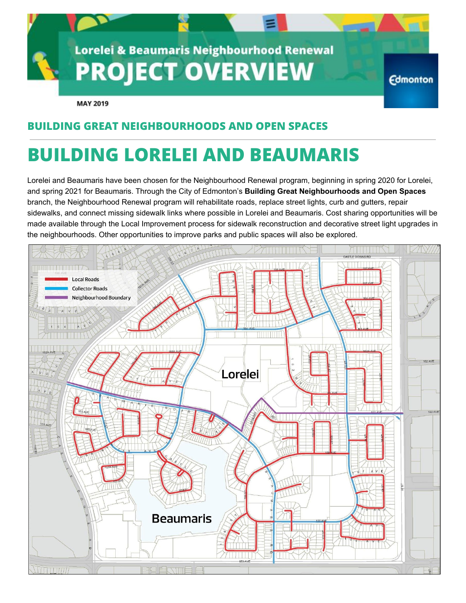

### **BUILDING GREAT NEIGHBOURHOODS AND OPEN SPACES**

## **BUILDING LORELEI AND BEAUMARIS**

Lorelei and Beaumaris have been chosen for the Neighbourhood Renewal program, beginning in spring 2020 for Lorelei, and spring 2021 for Beaumaris. Through the City of Edmonton's **Building Great Neighbourhoods and Open Spaces** branch, the Neighbourhood Renewal program will rehabilitate roads, replace street lights, curb and gutters, repair sidewalks, and connect missing sidewalk links where possible in Lorelei and Beaumaris. Cost sharing opportunities will be made available through the Local Improvement process for sidewalk reconstruction and decorative street light upgrades in the neighbourhoods. Other opportunities to improve parks and public spaces will also be explored.

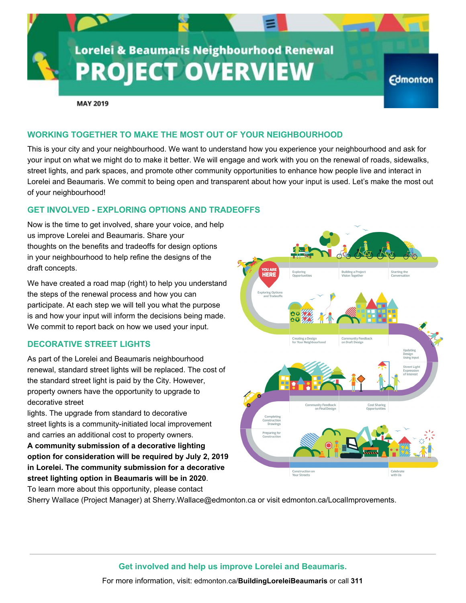# **Lorelei & Beaumaris Neighbourhood Renewal PROJECT OVERVIEW**

**MAY 2019** 

#### **WORKING TOGETHER TO MAKE THE MOST OUT OF YOUR NEIGHBOURHOOD**

This is your city and your neighbourhood. We want to understand how you experience your neighbourhood and ask for your input on what we might do to make it better. We will engage and work with you on the renewal of roads, sidewalks, street lights, and park spaces, and promote other community opportunities to enhance how people live and interact in Lorelei and Beaumaris. We commit to being open and transparent about how your input is used. Let's make the most out of your neighbourhood!

#### **GET INVOLVED - EXPLORING OPTIONS AND TRADEOFFS**

Now is the time to get involved, share your voice, and help us improve Lorelei and Beaumaris. Share your thoughts on the benefits and tradeoffs for design options in your neighbourhood to help refine the designs of the draft concepts.

We have created a road map (right) to help you understand the steps of the renewal process and how you can participate. At each step we will tell you what the purpose is and how your input will inform the decisions being made. We commit to report back on how we used your input.

#### **DECORATIVE STREET LIGHTS**

As part of the Lorelei and Beaumaris neighbourhood renewal, standard street lights will be replaced. The cost of the standard street light is paid by the City. However, property owners have the opportunity to upgrade to decorative street

lights. The upgrade from standard to decorative street lights is a community-initiated local improvement and carries an additional cost to property owners.

**A community submission of a decorative lighting option for consideration will be required by July 2, 2019 in Lorelei. The community submission for a decorative street lighting option in Beaumaris will be in 2020**. To learn more about this opportunity, please contact

Sherry Wallace (Project Manager) at Sherry.Wallace@edmonton.ca or visit edmonton.ca/LocalImprovements.



**Edmonton** 

**Get involved and help us improve Lorelei and Beaumaris.**